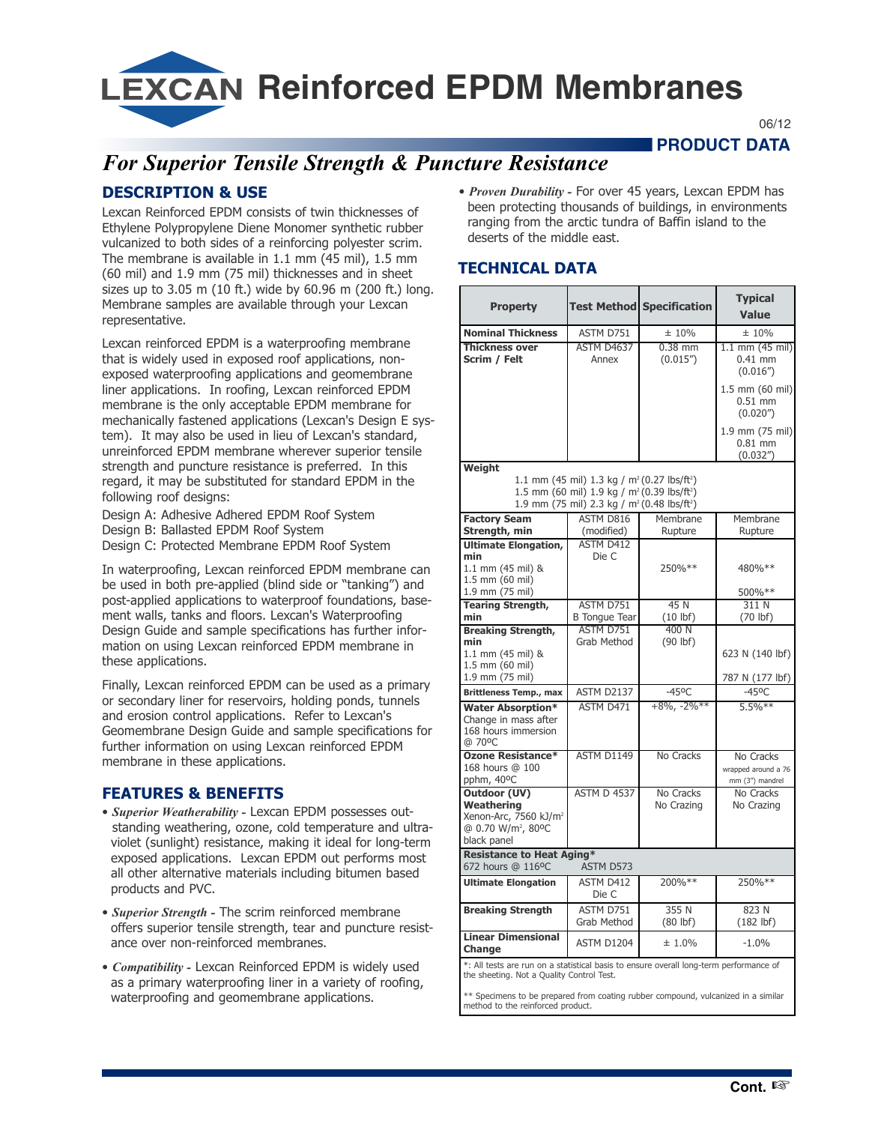**LEXCAN Reinforced EPDM Membranes** 

06/12

**WEIN PRODUCT DATA** 

# *For Superior Tensile Strength & Puncture Resistance*

## **DESCRIPTION & USE**

Lexcan Reinforced EPDM consists of twin thicknesses of Ethylene Polypropylene Diene Monomer synthetic rubber vulcanized to both sides of a reinforcing polyester scrim. The membrane is available in 1.1 mm (45 mil), 1.5 mm (60 mil) and 1.9 mm (75 mil) thicknesses and in sheet sizes up to 3.05 m (10 ft.) wide by 60.96 m (200 ft.) long. Membrane samples are available through your Lexcan representative.

Lexcan reinforced EPDM is a waterproofing membrane that is widely used in exposed roof applications, nonexposed waterproofing applications and geomembrane liner applications. In roofing, Lexcan reinforced EPDM membrane is the only acceptable EPDM membrane for mechanically fastened applications (Lexcan's Design E system). It may also be used in lieu of Lexcan's standard, unreinforced EPDM membrane wherever superior tensile strength and puncture resistance is preferred. In this regard, it may be substituted for standard EPDM in the following roof designs:

Design A: Adhesive Adhered EPDM Roof System Design B: Ballasted EPDM Roof System Design C: Protected Membrane EPDM Roof System

In waterproofing, Lexcan reinforced EPDM membrane can be used in both pre-applied (blind side or "tanking") and post-applied applications to waterproof foundations, basement walls, tanks and floors. Lexcan's Waterproofing Design Guide and sample specifications has further information on using Lexcan reinforced EPDM membrane in these applications.

Finally, Lexcan reinforced EPDM can be used as a primary or secondary liner for reservoirs, holding ponds, tunnels and erosion control applications. Refer to Lexcan's Geomembrane Design Guide and sample specifications for further information on using Lexcan reinforced EPDM membrane in these applications.

## **FEATURES & BENEFITS**

- *Superior Weatherability -* Lexcan EPDM possesses outstanding weathering, ozone, cold temperature and ultraviolet (sunlight) resistance, making it ideal for long-term exposed applications. Lexcan EPDM out performs most all other alternative materials including bitumen based products and PVC.
- *Superior Strength -* The scrim reinforced membrane offers superior tensile strength, tear and puncture resistance over non-reinforced membranes.
- *Compatibility -* Lexcan Reinforced EPDM is widely used as a primary waterproofing liner in a variety of roofing, waterproofing and geomembrane applications.

• *Proven Durability -* For over 45 years, Lexcan EPDM has been protecting thousands of buildings, in environments ranging from the arctic tundra of Baffin island to the deserts of the middle east.

## **TECHNICAL DATA**

| <b>Property</b>                                                                                                                                                                                                             |                                 | Test Methodl Specification | <b>Typical</b><br><b>Value</b>                      |
|-----------------------------------------------------------------------------------------------------------------------------------------------------------------------------------------------------------------------------|---------------------------------|----------------------------|-----------------------------------------------------|
| <b>Nominal Thickness</b>                                                                                                                                                                                                    | ASTM D751                       | ± 10%                      | ±10%                                                |
| <b>Thickness over</b><br>Scrim / Felt                                                                                                                                                                                       | <b>ASTM D4637</b><br>Annex      | $0.38$ mm<br>(0.015'')     | $1.1 \text{ mm}$ (45 mil)<br>$0.41$ mm<br>(0.016'') |
|                                                                                                                                                                                                                             |                                 |                            | 1.5 mm (60 mil)<br>$0.51$ mm<br>(0.020'')           |
|                                                                                                                                                                                                                             |                                 |                            | 1.9 mm (75 mil)<br>$0.81$ mm<br>(0.032'')           |
| Weight<br>1.1 mm (45 mil) 1.3 kg / m <sup>2</sup> (0.27 lbs/ft <sup>2</sup> )<br>1.5 mm (60 mil) 1.9 kg / m <sup>2</sup> (0.39 lbs/ft <sup>2</sup> )<br>1.9 mm (75 mil) 2.3 kg / m <sup>2</sup> (0.48 lbs/ft <sup>2</sup> ) |                                 |                            |                                                     |
| <b>Factory Seam</b><br>Strength, min                                                                                                                                                                                        | ASTM D816<br>(modified)         | Membrane<br>Rupture        | Membrane<br>Rupture                                 |
| <b>Ultimate Elongation,</b><br>min<br>1.1 mm (45 mil) &<br>1.5 mm (60 mil)<br>1.9 mm (75 mil)                                                                                                                               | <b>ASTM D412</b><br>Die C       | 250%**                     | 480%**<br>500%**                                    |
| <b>Tearing Strength,</b>                                                                                                                                                                                                    | ASTM D751                       | 45N                        | 311N                                                |
| min                                                                                                                                                                                                                         | <b>B</b> Tongue Tear            | $(10$ lbf)                 | $(70$ lbf)                                          |
| <b>Breaking Strength,</b><br>min<br>1.1 mm (45 mil) &<br>1.5 mm (60 mil)<br>1.9 mm (75 mil)                                                                                                                                 | ASTM D751<br>Grab Method        | 400 N<br>$(90$ lbf)        | 623 N (140 lbf)<br>787 N (177 lbf)                  |
| <b>Brittleness Temp., max</b>                                                                                                                                                                                               | ASTM D2137                      | $-45^{\circ}$ C            | $-45^{\circ}$ C                                     |
| <b>Water Absorption*</b><br>Change in mass after<br>168 hours immersion<br>@ 70°C                                                                                                                                           | <b>ASTM D471</b>                | $+8\%$ , $-2\%$ **         | $5.5%$ **                                           |
| <b>Ozone Resistance*</b><br>168 hours @ 100<br>pphm, 40°C                                                                                                                                                                   | ASTM D1149                      | No Cracks                  | No Cracks<br>wrapped around a 76<br>mm (3") mandrel |
| <b>Outdoor (UV)</b><br>Weathering<br>Xenon-Arc, 7560 kJ/m <sup>2</sup><br>@ 0.70 W/m <sup>2</sup> , 80°C<br>black panel                                                                                                     | <b>ASTM D 4537</b>              | No Cracks<br>No Crazing    | No Cracks<br>No Crazing                             |
| <b>Resistance to Heat Aging*</b><br>672 hours @ 116°C<br>ASTM D573                                                                                                                                                          |                                 |                            |                                                     |
| <b>Ultimate Elongation</b>                                                                                                                                                                                                  | ASTM D412<br>Die C              | 200%**                     | 250%**                                              |
| <b>Breaking Strength</b>                                                                                                                                                                                                    | ASTM D751<br><b>Grab Method</b> | 355 N<br>$(80$ lbf)        | 823 N<br>$(182$ lbf)                                |
| <b>Linear Dimensional</b><br>Change                                                                                                                                                                                         | ASTM D1204                      | ± 1.0%                     | $-1.0%$                                             |
| *: All tests are run on a statistical basis to ensure overall long-term performance of                                                                                                                                      |                                 |                            |                                                     |

the sheeting. Not a Quality Control Test.

\*\* Specimens to be prepared from coating rubber compound, vulcanized in a similar method to the reinforced product.